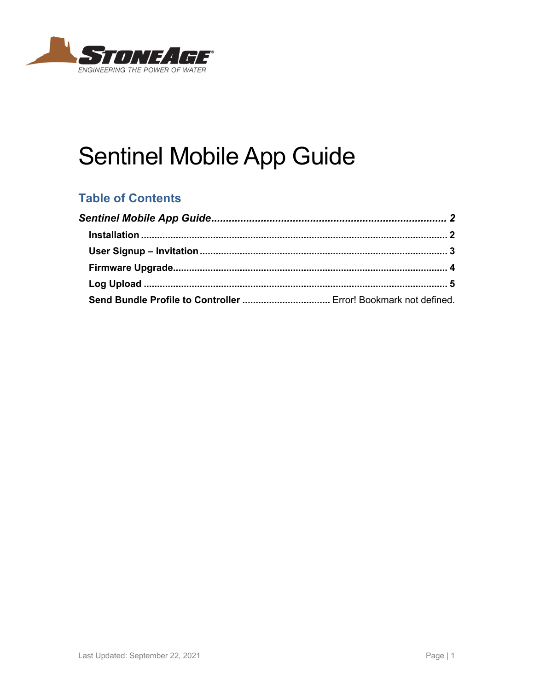

# **Sentinel Mobile App Guide**

## **Table of Contents**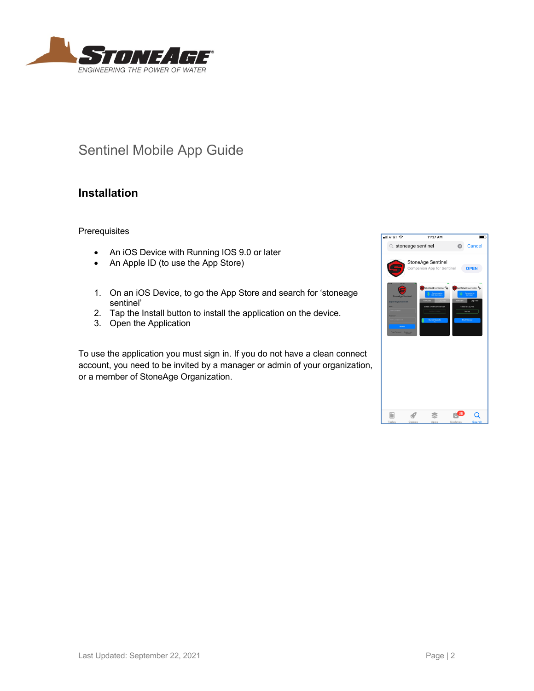

# Sentinel Mobile App Guide

#### **Installation**

**Prerequisites** 

- An iOS Device with Running IOS 9.0 or later
- An Apple ID (to use the App Store)
- 1. On an iOS Device, to go the App Store and search for 'stoneage sentinel'
- 2. Tap the Install button to install the application on the device.
- 3. Open the Application

To use the application you must sign in. If you do not have a clean connect account, you need to be invited by a manager or admin of your organization, or a member of StoneAge Organization.

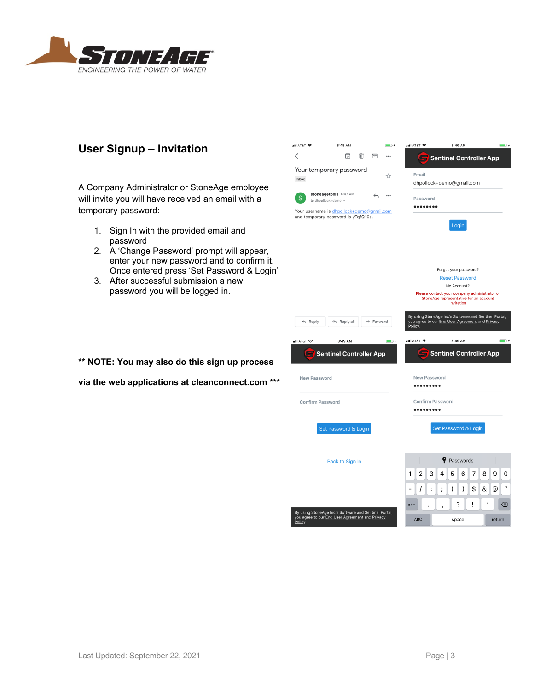

#### **User Signup – Invitation**

A Company Administrator or StoneAge employee will invite you will have received an email with a temporary password:

- 1. Sign In with the provided email and password
- 2. A 'Change Password' prompt will appear, enter your new password and to confirm it. Once entered press 'Set Password & Login'
- 3. After successful submission a new password you will be logged in.



**via the web applications at cleanconnect.com \*\*\***

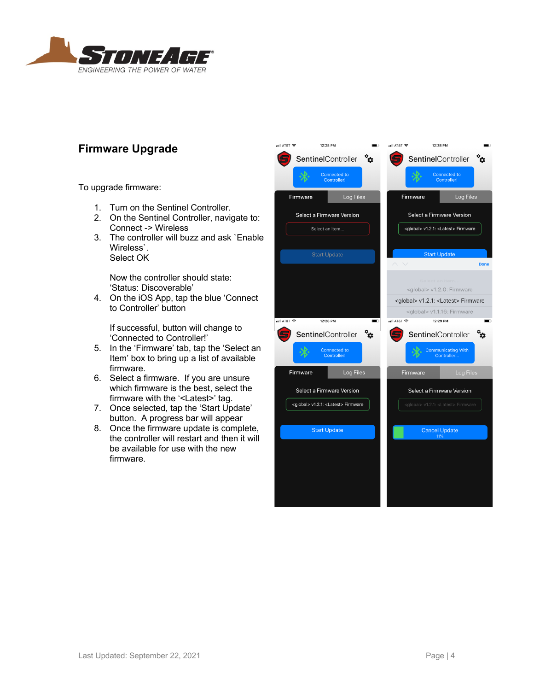

#### **Firmware Upgrade**

To upgrade firmware:

- 1. Turn on the Sentinel Controller.
- 2. On the Sentinel Controller, navigate to: Connect -> Wireless
- 3. The controller will buzz and ask `Enable Wireless`. Select OK

Now the controller should state: 'Status: Discoverable'

4. On the iOS App, tap the blue 'Connect to Controller' button

If successful, button will change to 'Connected to Controller!'

- 5. In the 'Firmware' tab, tap the 'Select an Item' box to bring up a list of available firmware.
- 6. Select a firmware. If you are unsure which firmware is the best, select the firmware with the '<Latest>' tag.
- 7. Once selected, tap the 'Start Update' button. A progress bar will appear
- 8. Once the firmware update is complete, the controller will restart and then it will be available for use with the new firmware.